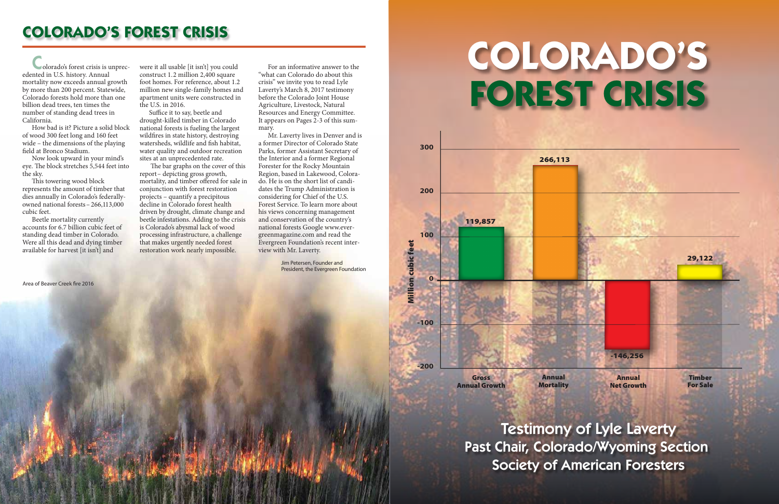-146,256



**Timber** For Sale



29,122



 How bad is it? Picture a solid block of wood 300 feet long and 160 feet wide – the dimensions of the playing field at Bronco Stadium.

Colorado's forest crisis is unprecedented in U.S. history. Annual mortality now exceeds annual growth by more than 200 percent. Statewide, Colorado forests hold more than one billion dead trees, ten times the number of standing dead trees in California.

This towering wood block represents the amount of timber that dies annually in Colorado's federallyowned national forests– 266,113,000 cubic feet.

 Now look upward in your mind's eye. The block stretches 5,544 feet into the sky.

Suffice it to say, beetle and drought-killed timber in Colorado national forests is fueling the largest wildfires in state history, destroying watersheds, wildlife and fish habitat, water quality and outdoor recreation sites at an unprecedented rate.

 Beetle mortality currently accounts for 6.7 billion cubic feet of standing dead timber in Colorado. Were all this dead and dying timber available for harvest [it isn't] and

Area of Beaver Creek fire 2016

The bar graphs on the cover of this report– depicting gross growth, mortality, and timber offered for sale in conjunction with forest restoration projects – quantify a precipitous decline in Colorado forest health driven by drought, climate change and beetle infestations. Adding to the crisis is Colorado's abysmal lack of wood processing infrastructure, a challenge that makes urgently needed forest restoration work nearly impossible.

were it all usable [it isn't] you could construct 1.2 million 2,400 square foot homes. For reference, about 1.2 million new single-family homes and apartment units were constructed in the U.S. in 2016.

 For an informative answer to the "what can Colorado do about this crisis" we invite you to read Lyle Laverty's March 8, 2017 testimony before the Colorado Joint House Agriculture, Livestock, Natural Resources and Energy Committee. It appears on Pages 2-3 of this summary.

 Mr. Laverty lives in Denver and is a former Director of Colorado State Parks, former Assistant Secretary of the Interior and a former Regional Forester for the Rocky Mountain Region, based in Lakewood, Colorado. He is on the short list of candidates the Trump Administration is considering for Chief of the U.S. Forest Service. To learn more about his views concerning management and conservation of the country's national forests Google www.evergreenmagazine.com and read the Evergreen Foundation's recent interview with Mr. Laverty.

# **COLORADO'S FOREST CRISIS**

Testimony of Lyle Laverty Past Chair, Colorado/Wyoming Section Society of American Foresters

Jim Petersen, Founder and President, the Evergreen Foundation